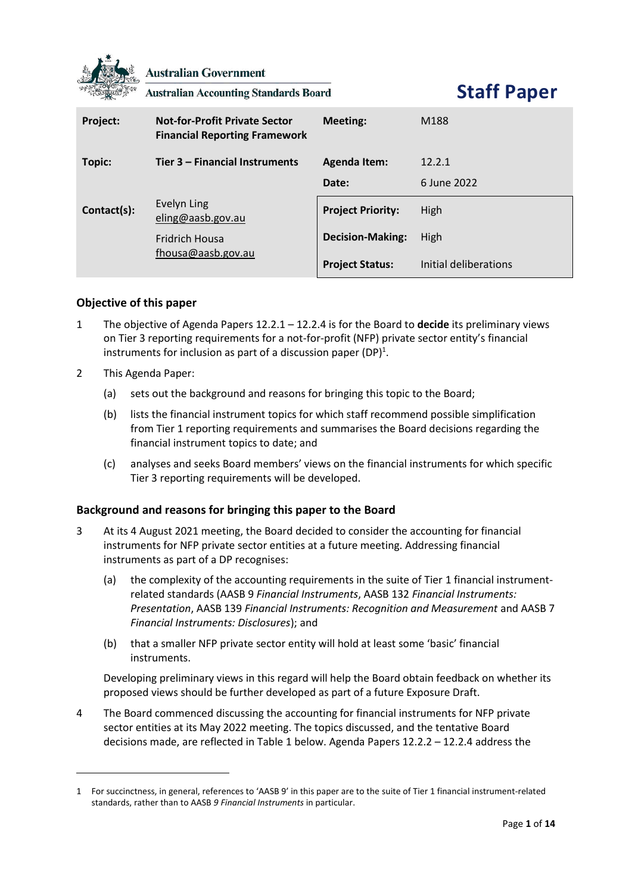

**Australian Government** 

**Australian Accounting Standards Board** 

**Staff Paper**

| Project:    | <b>Not-for-Profit Private Sector</b><br><b>Financial Reporting Framework</b> | Meeting:                 | M188                  |
|-------------|------------------------------------------------------------------------------|--------------------------|-----------------------|
| Topic:      | Tier 3 – Financial Instruments                                               | <b>Agenda Item:</b>      | 12.2.1                |
|             |                                                                              | Date:                    | 6 June 2022           |
| Contact(s): | Evelyn Ling<br>eling@aasb.gov.au                                             | <b>Project Priority:</b> | High                  |
|             | <b>Fridrich Housa</b><br>fhousa@aasb.gov.au                                  | <b>Decision-Making:</b>  | High                  |
|             |                                                                              | <b>Project Status:</b>   | Initial deliberations |

# **Objective of this paper**

- 1 The objective of Agenda Papers 12.2.1 12.2.4 is for the Board to **decide** its preliminary views on Tier 3 reporting requirements for a not-for-profit (NFP) private sector entity's financial instruments for inclusion as part of a discussion paper (DP)<sup>1</sup>.
- 2 This Agenda Paper:
	- (a) sets out the background and reasons for bringing this topic to the Board;
	- (b) lists the financial instrument topics for which staff recommend possible simplification from Tier 1 reporting requirements and summarises the Board decisions regarding the financial instrument topics to date; and
	- (c) analyses and seeks Board members' views on the financial instruments for which specific Tier 3 reporting requirements will be developed.

# **Background and reasons for bringing this paper to the Board**

- 3 At its 4 August 2021 meeting, the Board decided to consider the accounting for financial instruments for NFP private sector entities at a future meeting. Addressing financial instruments as part of a DP recognises:
	- (a) the complexity of the accounting requirements in the suite of Tier 1 financial instrumentrelated standards (AASB 9 *Financial Instruments*, AASB 132 *Financial Instruments: Presentation*, AASB 139 *Financial Instruments: Recognition and Measurement* and AASB 7 *Financial Instruments: Disclosures*); and
	- (b) that a smaller NFP private sector entity will hold at least some 'basic' financial instruments.

Developing preliminary views in this regard will help the Board obtain feedback on whether its proposed views should be further developed as part of a future Exposure Draft.

4 The Board commenced discussing the accounting for financial instruments for NFP private sector entities at its May 2022 meeting. The topics discussed, and the tentative Board decisions made, are reflected in Table 1 below. Agenda Papers 12.2.2 – 12.2.4 address the

<sup>1</sup> For succinctness, in general, references to 'AASB 9' in this paper are to the suite of Tier 1 financial instrument-related standards, rather than to AASB *9 Financial Instruments* in particular.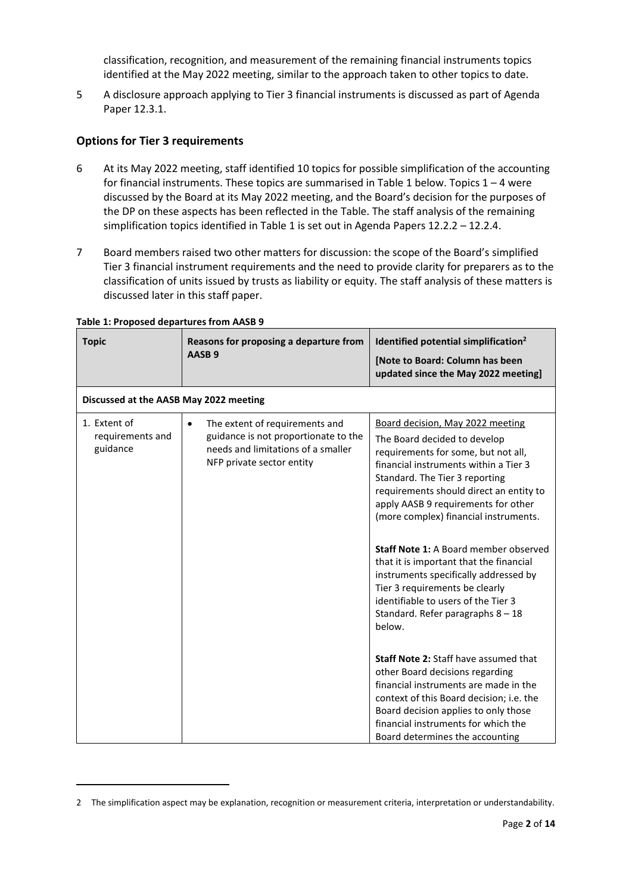classification, recognition, and measurement of the remaining financial instruments topics identified at the May 2022 meeting, similar to the approach taken to other topics to date.

5 A disclosure approach applying to Tier 3 financial instruments is discussed as part of Agenda Paper 12.3.1.

# **Options for Tier 3 requirements**

- 6 At its May 2022 meeting, staff identified 10 topics for possible simplification of the accounting for financial instruments. These topics are summarised in Table 1 below. Topics  $1 - 4$  were discussed by the Board at its May 2022 meeting, and the Board's decision for the purposes of the DP on these aspects has been reflected in the Table. The staff analysis of the remaining simplification topics identified in Table 1 is set out in Agenda Papers 12.2.2 - 12.2.4.
- 7 Board members raised two other matters for discussion: the scope of the Board's simplified Tier 3 financial instrument requirements and the need to provide clarity for preparers as to the classification of units issued by trusts as liability or equity. The staff analysis of these matters is discussed later in this staff paper.

|                                                                                                                                                        | updated since the May 2022 meeting]                                                                                                                                                                                                                                                                                                                                                                                                                                                                                                                                         |
|--------------------------------------------------------------------------------------------------------------------------------------------------------|-----------------------------------------------------------------------------------------------------------------------------------------------------------------------------------------------------------------------------------------------------------------------------------------------------------------------------------------------------------------------------------------------------------------------------------------------------------------------------------------------------------------------------------------------------------------------------|
| Discussed at the AASB May 2022 meeting                                                                                                                 |                                                                                                                                                                                                                                                                                                                                                                                                                                                                                                                                                                             |
| The extent of requirements and<br>$\bullet$<br>guidance is not proportionate to the<br>needs and limitations of a smaller<br>NFP private sector entity | Board decision, May 2022 meeting<br>The Board decided to develop<br>requirements for some, but not all,<br>financial instruments within a Tier 3<br>Standard. The Tier 3 reporting<br>requirements should direct an entity to<br>apply AASB 9 requirements for other<br>(more complex) financial instruments.<br><b>Staff Note 1: A Board member observed</b><br>that it is important that the financial<br>instruments specifically addressed by<br>Tier 3 requirements be clearly<br>identifiable to users of the Tier 3<br>Standard. Refer paragraphs $8 - 18$<br>below. |
|                                                                                                                                                        | <b>Staff Note 2: Staff have assumed that</b><br>other Board decisions regarding<br>financial instruments are made in the<br>context of this Board decision; i.e. the<br>Board decision applies to only those<br>financial instruments for which the                                                                                                                                                                                                                                                                                                                         |
|                                                                                                                                                        |                                                                                                                                                                                                                                                                                                                                                                                                                                                                                                                                                                             |

### **Table 1: Proposed departures from AASB 9**

<sup>2</sup> The simplification aspect may be explanation, recognition or measurement criteria, interpretation or understandability.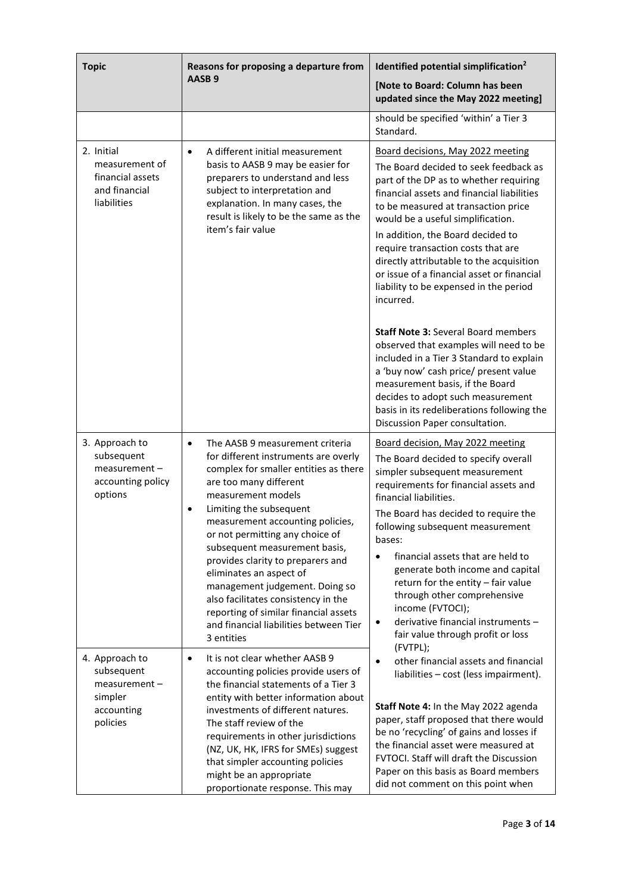| <b>Topic</b>                                                                       | Reasons for proposing a departure from                                                                                                                                                                                                                                                                                                                                                                                                                                                                                                                    | Identified potential simplification <sup>2</sup>                                                                                                                                                                                                                                                                                                                                                                                                                                         |
|------------------------------------------------------------------------------------|-----------------------------------------------------------------------------------------------------------------------------------------------------------------------------------------------------------------------------------------------------------------------------------------------------------------------------------------------------------------------------------------------------------------------------------------------------------------------------------------------------------------------------------------------------------|------------------------------------------------------------------------------------------------------------------------------------------------------------------------------------------------------------------------------------------------------------------------------------------------------------------------------------------------------------------------------------------------------------------------------------------------------------------------------------------|
|                                                                                    | AASB <sub>9</sub>                                                                                                                                                                                                                                                                                                                                                                                                                                                                                                                                         | [Note to Board: Column has been<br>updated since the May 2022 meeting]                                                                                                                                                                                                                                                                                                                                                                                                                   |
|                                                                                    |                                                                                                                                                                                                                                                                                                                                                                                                                                                                                                                                                           | should be specified 'within' a Tier 3<br>Standard.                                                                                                                                                                                                                                                                                                                                                                                                                                       |
| 2. Initial<br>measurement of<br>financial assets<br>and financial<br>liabilities   | A different initial measurement<br>$\bullet$<br>basis to AASB 9 may be easier for<br>preparers to understand and less<br>subject to interpretation and<br>explanation. In many cases, the<br>result is likely to be the same as the<br>item's fair value                                                                                                                                                                                                                                                                                                  | Board decisions, May 2022 meeting<br>The Board decided to seek feedback as<br>part of the DP as to whether requiring<br>financial assets and financial liabilities<br>to be measured at transaction price<br>would be a useful simplification.<br>In addition, the Board decided to<br>require transaction costs that are<br>directly attributable to the acquisition<br>or issue of a financial asset or financial<br>liability to be expensed in the period<br>incurred.               |
|                                                                                    |                                                                                                                                                                                                                                                                                                                                                                                                                                                                                                                                                           | <b>Staff Note 3: Several Board members</b><br>observed that examples will need to be<br>included in a Tier 3 Standard to explain<br>a 'buy now' cash price/ present value<br>measurement basis, if the Board<br>decides to adopt such measurement<br>basis in its redeliberations following the<br>Discussion Paper consultation.                                                                                                                                                        |
| 3. Approach to<br>subsequent<br>measurement -<br>accounting policy<br>options      | The AASB 9 measurement criteria<br>$\bullet$<br>for different instruments are overly<br>complex for smaller entities as there<br>are too many different<br>measurement models<br>Limiting the subsequent<br>$\bullet$<br>measurement accounting policies,<br>or not permitting any choice of<br>subsequent measurement basis,<br>provides clarity to preparers and<br>eliminates an aspect of<br>management judgement. Doing so<br>also facilitates consistency in the<br>reporting of similar financial assets<br>and financial liabilities between Tier | Board decision, May 2022 meeting<br>The Board decided to specify overall<br>simpler subsequent measurement<br>requirements for financial assets and<br>financial liabilities.<br>The Board has decided to require the<br>following subsequent measurement<br>bases:<br>financial assets that are held to<br>generate both income and capital<br>return for the entity - fair value<br>through other comprehensive<br>income (FVTOCI);<br>derivative financial instruments -<br>$\bullet$ |
| 4. Approach to<br>subsequent<br>measurement -<br>simpler<br>accounting<br>policies | 3 entities<br>It is not clear whether AASB 9<br>$\bullet$<br>accounting policies provide users of<br>the financial statements of a Tier 3<br>entity with better information about<br>investments of different natures.<br>The staff review of the<br>requirements in other jurisdictions<br>(NZ, UK, HK, IFRS for SMEs) suggest<br>that simpler accounting policies<br>might be an appropriate<br>proportionate response. This may                                                                                                                        | fair value through profit or loss<br>(FVTPL);<br>other financial assets and financial<br>liabilities - cost (less impairment).<br>Staff Note 4: In the May 2022 agenda<br>paper, staff proposed that there would<br>be no 'recycling' of gains and losses if<br>the financial asset were measured at<br>FVTOCI. Staff will draft the Discussion<br>Paper on this basis as Board members<br>did not comment on this point when                                                            |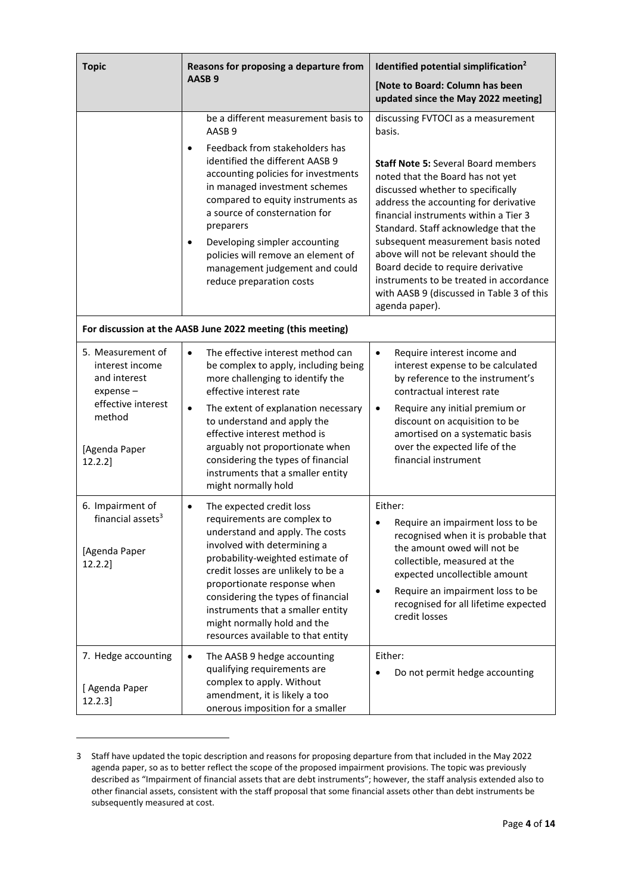| <b>Topic</b><br>Reasons for proposing a departure from                                                                         |                                                                                                                                                                                                                                                                                                                                                                                                                                                 | Identified potential simplification <sup>2</sup>                                                                                                                                                                                                                                                                                                                                                                                                                                                                             |  |
|--------------------------------------------------------------------------------------------------------------------------------|-------------------------------------------------------------------------------------------------------------------------------------------------------------------------------------------------------------------------------------------------------------------------------------------------------------------------------------------------------------------------------------------------------------------------------------------------|------------------------------------------------------------------------------------------------------------------------------------------------------------------------------------------------------------------------------------------------------------------------------------------------------------------------------------------------------------------------------------------------------------------------------------------------------------------------------------------------------------------------------|--|
|                                                                                                                                | AASB <sub>9</sub>                                                                                                                                                                                                                                                                                                                                                                                                                               | [Note to Board: Column has been<br>updated since the May 2022 meeting]                                                                                                                                                                                                                                                                                                                                                                                                                                                       |  |
|                                                                                                                                | be a different measurement basis to<br>AASB <sub>9</sub><br>Feedback from stakeholders has<br>$\bullet$<br>identified the different AASB 9<br>accounting policies for investments<br>in managed investment schemes<br>compared to equity instruments as<br>a source of consternation for<br>preparers<br>Developing simpler accounting<br>٠<br>policies will remove an element of<br>management judgement and could<br>reduce preparation costs | discussing FVTOCI as a measurement<br>basis.<br><b>Staff Note 5: Several Board members</b><br>noted that the Board has not yet<br>discussed whether to specifically<br>address the accounting for derivative<br>financial instruments within a Tier 3<br>Standard. Staff acknowledge that the<br>subsequent measurement basis noted<br>above will not be relevant should the<br>Board decide to require derivative<br>instruments to be treated in accordance<br>with AASB 9 (discussed in Table 3 of this<br>agenda paper). |  |
| For discussion at the AASB June 2022 meeting (this meeting)                                                                    |                                                                                                                                                                                                                                                                                                                                                                                                                                                 |                                                                                                                                                                                                                                                                                                                                                                                                                                                                                                                              |  |
| 5. Measurement of<br>interest income<br>and interest<br>$expense-$<br>effective interest<br>method<br>[Agenda Paper<br>12.2.2] | The effective interest method can<br>$\bullet$<br>be complex to apply, including being<br>more challenging to identify the<br>effective interest rate<br>The extent of explanation necessary<br>$\bullet$<br>to understand and apply the<br>effective interest method is<br>arguably not proportionate when<br>considering the types of financial<br>instruments that a smaller entity<br>might normally hold                                   | Require interest income and<br>٠<br>interest expense to be calculated<br>by reference to the instrument's<br>contractual interest rate<br>Require any initial premium or<br>٠<br>discount on acquisition to be<br>amortised on a systematic basis<br>over the expected life of the<br>financial instrument                                                                                                                                                                                                                   |  |
| 6. Impairment of<br>financial assets <sup>3</sup><br>[Agenda Paper<br>$12.2.2$ ]                                               | The expected credit loss<br>$\bullet$<br>requirements are complex to<br>understand and apply. The costs<br>involved with determining a<br>probability-weighted estimate of<br>credit losses are unlikely to be a<br>proportionate response when<br>considering the types of financial<br>instruments that a smaller entity<br>might normally hold and the<br>resources available to that entity                                                 | Either:<br>Require an impairment loss to be<br>recognised when it is probable that<br>the amount owed will not be<br>collectible, measured at the<br>expected uncollectible amount<br>Require an impairment loss to be<br>٠<br>recognised for all lifetime expected<br>credit losses                                                                                                                                                                                                                                         |  |
| 7. Hedge accounting<br>[ Agenda Paper<br>$12.2.3$ ]                                                                            | The AASB 9 hedge accounting<br>٠<br>qualifying requirements are<br>complex to apply. Without<br>amendment, it is likely a too<br>onerous imposition for a smaller                                                                                                                                                                                                                                                                               | Either:<br>Do not permit hedge accounting                                                                                                                                                                                                                                                                                                                                                                                                                                                                                    |  |

<sup>3</sup> Staff have updated the topic description and reasons for proposing departure from that included in the May 2022 agenda paper, so as to better reflect the scope of the proposed impairment provisions. The topic was previously described as "Impairment of financial assets that are debt instruments"; however, the staff analysis extended also to other financial assets, consistent with the staff proposal that some financial assets other than debt instruments be subsequently measured at cost.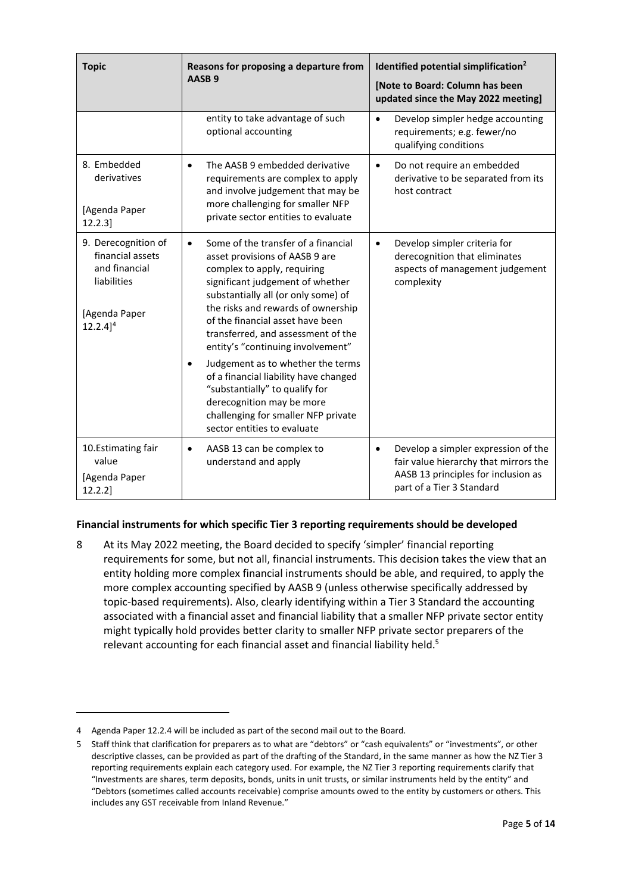| <b>Topic</b>                                                                                                      | Reasons for proposing a departure from<br>AASB <sub>9</sub>                                                                                                                                                                                                                                                                                                                                                                                                                                                                                                                       | Identified potential simplification <sup>2</sup><br>[Note to Board: Column has been<br>updated since the May 2022 meeting]                                    |
|-------------------------------------------------------------------------------------------------------------------|-----------------------------------------------------------------------------------------------------------------------------------------------------------------------------------------------------------------------------------------------------------------------------------------------------------------------------------------------------------------------------------------------------------------------------------------------------------------------------------------------------------------------------------------------------------------------------------|---------------------------------------------------------------------------------------------------------------------------------------------------------------|
|                                                                                                                   | entity to take advantage of such<br>optional accounting                                                                                                                                                                                                                                                                                                                                                                                                                                                                                                                           | Develop simpler hedge accounting<br>$\bullet$<br>requirements; e.g. fewer/no<br>qualifying conditions                                                         |
| 8. Embedded<br>derivatives<br>[Agenda Paper<br>$12.2.3$ ]                                                         | The AASB 9 embedded derivative<br>$\bullet$<br>requirements are complex to apply<br>and involve judgement that may be<br>more challenging for smaller NFP<br>private sector entities to evaluate                                                                                                                                                                                                                                                                                                                                                                                  | Do not require an embedded<br>$\bullet$<br>derivative to be separated from its<br>host contract                                                               |
| 9. Derecognition of<br>financial assets<br>and financial<br>liabilities<br>[Agenda Paper<br>$12.2.4$ <sup>4</sup> | Some of the transfer of a financial<br>$\bullet$<br>asset provisions of AASB 9 are<br>complex to apply, requiring<br>significant judgement of whether<br>substantially all (or only some) of<br>the risks and rewards of ownership<br>of the financial asset have been<br>transferred, and assessment of the<br>entity's "continuing involvement"<br>Judgement as to whether the terms<br>$\bullet$<br>of a financial liability have changed<br>"substantially" to qualify for<br>derecognition may be more<br>challenging for smaller NFP private<br>sector entities to evaluate | Develop simpler criteria for<br>$\bullet$<br>derecognition that eliminates<br>aspects of management judgement<br>complexity                                   |
| 10.Estimating fair<br>value<br>[Agenda Paper<br>12.2.2]                                                           | AASB 13 can be complex to<br>٠<br>understand and apply                                                                                                                                                                                                                                                                                                                                                                                                                                                                                                                            | Develop a simpler expression of the<br>$\bullet$<br>fair value hierarchy that mirrors the<br>AASB 13 principles for inclusion as<br>part of a Tier 3 Standard |

# **Financial instruments for which specific Tier 3 reporting requirements should be developed**

<span id="page-4-0"></span>8 At its May 2022 meeting, the Board decided to specify 'simpler' financial reporting requirements for some, but not all, financial instruments. This decision takes the view that an entity holding more complex financial instruments should be able, and required, to apply the more complex accounting specified by AASB 9 (unless otherwise specifically addressed by topic-based requirements). Also, clearly identifying within a Tier 3 Standard the accounting associated with a financial asset and financial liability that a smaller NFP private sector entity might typically hold provides better clarity to smaller NFP private sector preparers of the relevant accounting for each financial asset and financial liability held.<sup>5</sup>

<sup>4</sup> Agenda Paper 12.2.4 will be included as part of the second mail out to the Board.

<sup>5</sup> Staff think that clarification for preparers as to what are "debtors" or "cash equivalents" or "investments", or other descriptive classes, can be provided as part of the drafting of the Standard, in the same manner as how the NZ Tier 3 reporting requirements explain each category used. For example, the NZ Tier 3 reporting requirements clarify that "Investments are shares, term deposits, bonds, units in unit trusts, or similar instruments held by the entity" and "Debtors (sometimes called accounts receivable) comprise amounts owed to the entity by customers or others. This includes any GST receivable from Inland Revenue."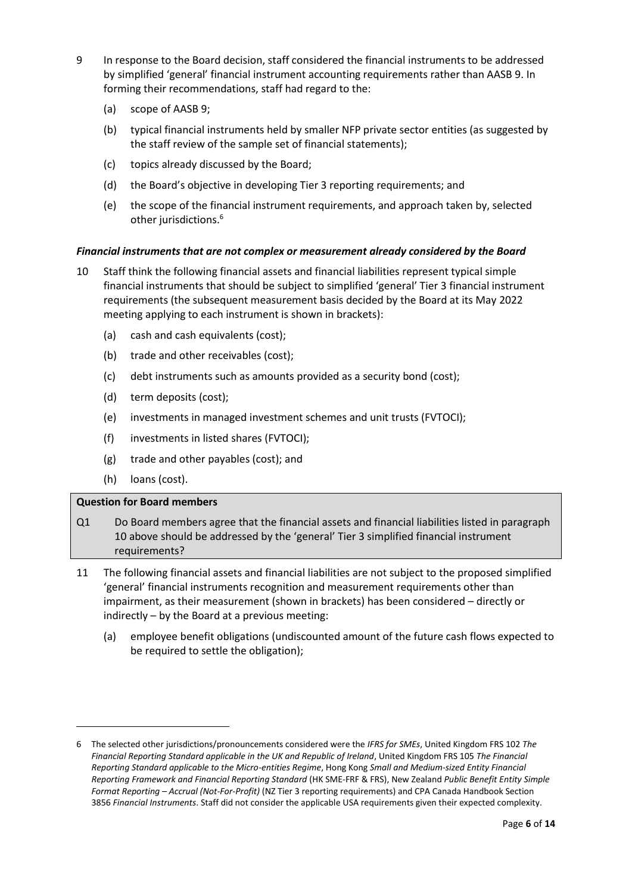- 9 In response to the Board decision, staff considered the financial instruments to be addressed by simplified 'general' financial instrument accounting requirements rather than AASB 9. In forming their recommendations, staff had regard to the:
	- (a) scope of AASB 9;
	- (b) typical financial instruments held by smaller NFP private sector entities (as suggested by the staff review of the sample set of financial statements);
	- (c) topics already discussed by the Board;
	- (d) the Board's objective in developing Tier 3 reporting requirements; and
	- (e) the scope of the financial instrument requirements, and approach taken by, selected other jurisdictions.<sup>6</sup>

# *Financial instruments that are not complex or measurement already considered by the Board*

- <span id="page-5-0"></span>10 Staff think the following financial assets and financial liabilities represent typical simple financial instruments that should be subject to simplified 'general' Tier 3 financial instrument requirements (the subsequent measurement basis decided by the Board at its May 2022 meeting applying to each instrument is shown in brackets):
	- (a) cash and cash equivalents (cost);
	- (b) trade and other receivables (cost);
	- (c) debt instruments such as amounts provided as a security bond (cost);
	- (d) term deposits (cost);
	- (e) investments in managed investment schemes and unit trusts (FVTOCI);
	- (f) investments in listed shares (FVTOCI);
	- (g) trade and other payables (cost); and
	- (h) loans (cost).

# **Question for Board members**

- Q1 Do Board members agree that the financial assets and financial liabilities listed in paragraph [10](#page-5-0) above should be addressed by the 'general' Tier 3 simplified financial instrument requirements?
- <span id="page-5-1"></span>11 The following financial assets and financial liabilities are not subject to the proposed simplified 'general' financial instruments recognition and measurement requirements other than impairment, as their measurement (shown in brackets) has been considered – directly or indirectly – by the Board at a previous meeting:
	- (a) employee benefit obligations (undiscounted amount of the future cash flows expected to be required to settle the obligation);

<sup>6</sup> The selected other jurisdictions/pronouncements considered were the *IFRS for SMEs*, United Kingdom FRS 102 *The Financial Reporting Standard applicable in the UK and Republic of Ireland*, United Kingdom FRS 105 *The Financial Reporting Standard applicable to the Micro-entities Regime*, Hong Kong *Small and Medium-sized Entity Financial Reporting Framework and Financial Reporting Standard* (HK SME-FRF & FRS), New Zealand *Public Benefit Entity Simple Format Reporting – Accrual (Not-For-Profit)* (NZ Tier 3 reporting requirements) and CPA Canada Handbook Section 3856 *Financial Instruments*. Staff did not consider the applicable USA requirements given their expected complexity.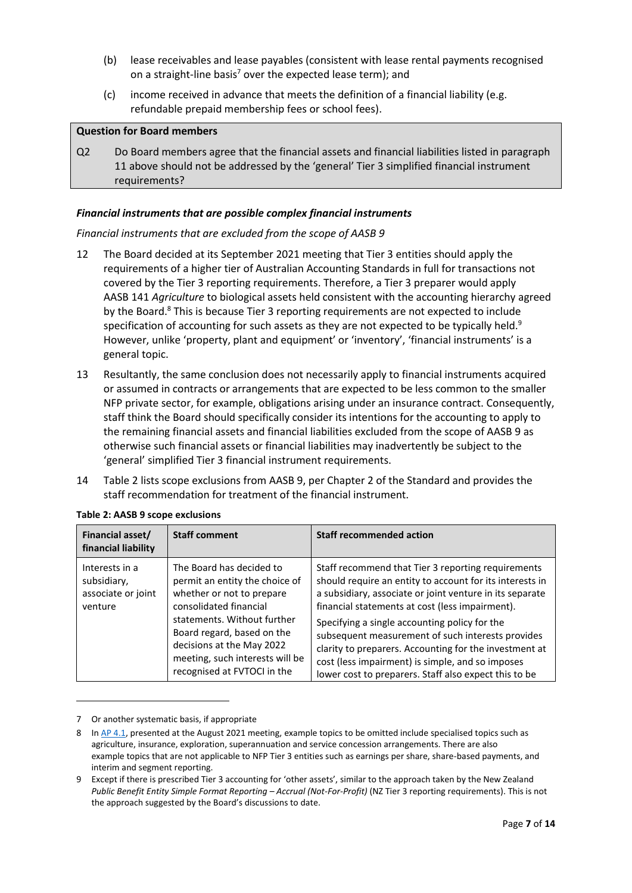- (b) lease receivables and lease payables (consistent with lease rental payments recognised on a straight-line basis<sup>7</sup> over the expected lease term); and
- (c) income received in advance that meets the definition of a financial liability (e.g. refundable prepaid membership fees or school fees).

### **Question for Board members**

Q2 Do Board members agree that the financial assets and financial liabilities listed in paragraph [11](#page-5-1) above should not be addressed by the 'general' Tier 3 simplified financial instrument requirements?

### *Financial instruments that are possible complex financial instruments*

### *Financial instruments that are excluded from the scope of AASB 9*

- 12 The Board decided at its September 2021 meeting that Tier 3 entities should apply the requirements of a higher tier of Australian Accounting Standards in full for transactions not covered by the Tier 3 reporting requirements. Therefore, a Tier 3 preparer would apply AASB 141 *Agriculture* to biological assets held consistent with the accounting hierarchy agreed by the Board. $8$  This is because Tier 3 reporting requirements are not expected to include specification of accounting for such assets as they are not expected to be typically held. $9$ However, unlike 'property, plant and equipment' or 'inventory', 'financial instruments' is a general topic.
- 13 Resultantly, the same conclusion does not necessarily apply to financial instruments acquired or assumed in contracts or arrangements that are expected to be less common to the smaller NFP private sector, for example, obligations arising under an insurance contract. Consequently, staff think the Board should specifically consider its intentions for the accounting to apply to the remaining financial assets and financial liabilities excluded from the scope of AASB 9 as otherwise such financial assets or financial liabilities may inadvertently be subject to the 'general' simplified Tier 3 financial instrument requirements.
- 14 Table 2 lists scope exclusions from AASB 9, per Chapter 2 of the Standard and provides the staff recommendation for treatment of the financial instrument.

| Financial asset/<br>financial liability                        | <b>Staff comment</b>                                                                                                                                                                                                                                                          | <b>Staff recommended action</b>                                                                                                                                                                                                                                                                                                                                                                                                                                                                            |
|----------------------------------------------------------------|-------------------------------------------------------------------------------------------------------------------------------------------------------------------------------------------------------------------------------------------------------------------------------|------------------------------------------------------------------------------------------------------------------------------------------------------------------------------------------------------------------------------------------------------------------------------------------------------------------------------------------------------------------------------------------------------------------------------------------------------------------------------------------------------------|
| Interests in a<br>subsidiary,<br>associate or joint<br>venture | The Board has decided to<br>permit an entity the choice of<br>whether or not to prepare<br>consolidated financial<br>statements. Without further<br>Board regard, based on the<br>decisions at the May 2022<br>meeting, such interests will be<br>recognised at FVTOCI in the | Staff recommend that Tier 3 reporting requirements<br>should require an entity to account for its interests in<br>a subsidiary, associate or joint venture in its separate<br>financial statements at cost (less impairment).<br>Specifying a single accounting policy for the<br>subsequent measurement of such interests provides<br>clarity to preparers. Accounting for the investment at<br>cost (less impairment) is simple, and so imposes<br>lower cost to preparers. Staff also expect this to be |

#### **Table 2: AASB 9 scope exclusions**

<sup>7</sup> Or another systematic basis, if appropriate

<sup>8</sup> I[n AP 4.1,](https://aasb.gov.au/media/hd0kig2j/4-1_sp_covermemo_m182_pp.pdf) presented at the August 2021 meeting, example topics to be omitted include specialised topics such as agriculture, insurance, exploration, superannuation and service concession arrangements. There are also example topics that are not applicable to NFP Tier 3 entities such as earnings per share, share-based payments, and interim and segment reporting.

<sup>9</sup> Except if there is prescribed Tier 3 accounting for 'other assets', similar to the approach taken by the New Zealand *Public Benefit Entity Simple Format Reporting – Accrual (Not-For-Profit)* (NZ Tier 3 reporting requirements). This is not the approach suggested by the Board's discussions to date.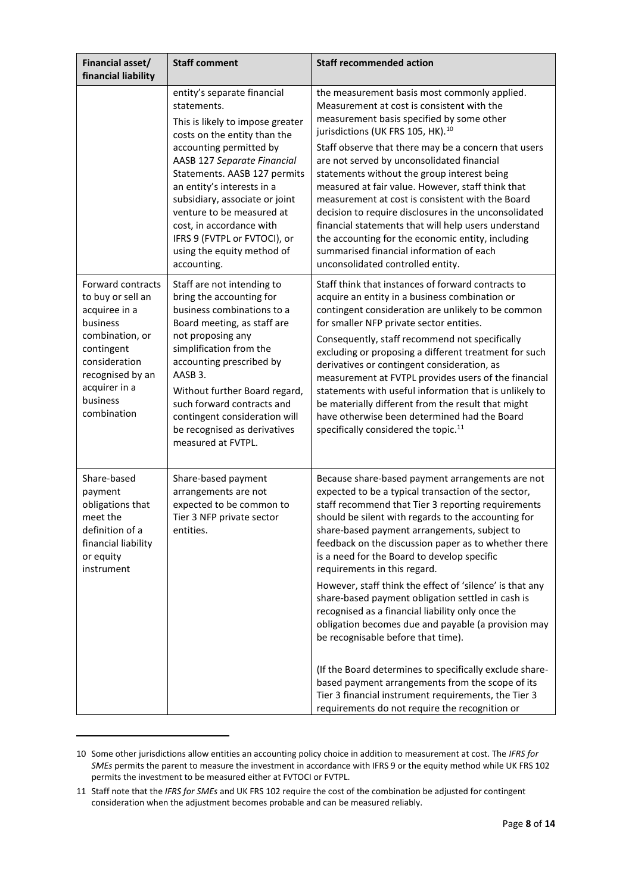| Financial asset/<br>financial liability                                                                                                                                               | <b>Staff comment</b>                                                                                                                                                                                                                                                                                                                                                                            | <b>Staff recommended action</b>                                                                                                                                                                                                                                                                                                                                                                                                                                                                                                                                                                                                                                                                                                                                                                                                                                                                         |
|---------------------------------------------------------------------------------------------------------------------------------------------------------------------------------------|-------------------------------------------------------------------------------------------------------------------------------------------------------------------------------------------------------------------------------------------------------------------------------------------------------------------------------------------------------------------------------------------------|---------------------------------------------------------------------------------------------------------------------------------------------------------------------------------------------------------------------------------------------------------------------------------------------------------------------------------------------------------------------------------------------------------------------------------------------------------------------------------------------------------------------------------------------------------------------------------------------------------------------------------------------------------------------------------------------------------------------------------------------------------------------------------------------------------------------------------------------------------------------------------------------------------|
|                                                                                                                                                                                       | entity's separate financial<br>statements.<br>This is likely to impose greater<br>costs on the entity than the<br>accounting permitted by<br>AASB 127 Separate Financial<br>Statements. AASB 127 permits<br>an entity's interests in a<br>subsidiary, associate or joint<br>venture to be measured at<br>cost, in accordance with<br>IFRS 9 (FVTPL or FVTOCI), or<br>using the equity method of | the measurement basis most commonly applied.<br>Measurement at cost is consistent with the<br>measurement basis specified by some other<br>jurisdictions (UK FRS 105, HK). <sup>10</sup><br>Staff observe that there may be a concern that users<br>are not served by unconsolidated financial<br>statements without the group interest being<br>measured at fair value. However, staff think that<br>measurement at cost is consistent with the Board<br>decision to require disclosures in the unconsolidated<br>financial statements that will help users understand<br>the accounting for the economic entity, including<br>summarised financial information of each                                                                                                                                                                                                                                |
| Forward contracts<br>to buy or sell an<br>acquiree in a<br>business<br>combination, or<br>contingent<br>consideration<br>recognised by an<br>acquirer in a<br>business<br>combination | accounting.<br>Staff are not intending to<br>bring the accounting for<br>business combinations to a<br>Board meeting, as staff are<br>not proposing any<br>simplification from the<br>accounting prescribed by<br>AASB 3.<br>Without further Board regard,<br>such forward contracts and<br>contingent consideration will<br>be recognised as derivatives<br>measured at FVTPL.                 | unconsolidated controlled entity.<br>Staff think that instances of forward contracts to<br>acquire an entity in a business combination or<br>contingent consideration are unlikely to be common<br>for smaller NFP private sector entities.<br>Consequently, staff recommend not specifically<br>excluding or proposing a different treatment for such<br>derivatives or contingent consideration, as<br>measurement at FVTPL provides users of the financial<br>statements with useful information that is unlikely to<br>be materially different from the result that might<br>have otherwise been determined had the Board<br>specifically considered the topic. <sup>11</sup>                                                                                                                                                                                                                       |
| Share-based<br>payment<br>obligations that<br>meet the<br>definition of a<br>financial liability<br>or equity<br>instrument                                                           | Share-based payment<br>arrangements are not<br>expected to be common to<br>Tier 3 NFP private sector<br>entities.                                                                                                                                                                                                                                                                               | Because share-based payment arrangements are not<br>expected to be a typical transaction of the sector,<br>staff recommend that Tier 3 reporting requirements<br>should be silent with regards to the accounting for<br>share-based payment arrangements, subject to<br>feedback on the discussion paper as to whether there<br>is a need for the Board to develop specific<br>requirements in this regard.<br>However, staff think the effect of 'silence' is that any<br>share-based payment obligation settled in cash is<br>recognised as a financial liability only once the<br>obligation becomes due and payable (a provision may<br>be recognisable before that time).<br>(If the Board determines to specifically exclude share-<br>based payment arrangements from the scope of its<br>Tier 3 financial instrument requirements, the Tier 3<br>requirements do not require the recognition or |

<sup>10</sup> Some other jurisdictions allow entities an accounting policy choice in addition to measurement at cost. The *IFRS for SMEs* permits the parent to measure the investment in accordance with IFRS 9 or the equity method while UK FRS 102 permits the investment to be measured either at FVTOCI or FVTPL.

<sup>11</sup> Staff note that the *IFRS for SMEs* and UK FRS 102 require the cost of the combination be adjusted for contingent consideration when the adjustment becomes probable and can be measured reliably.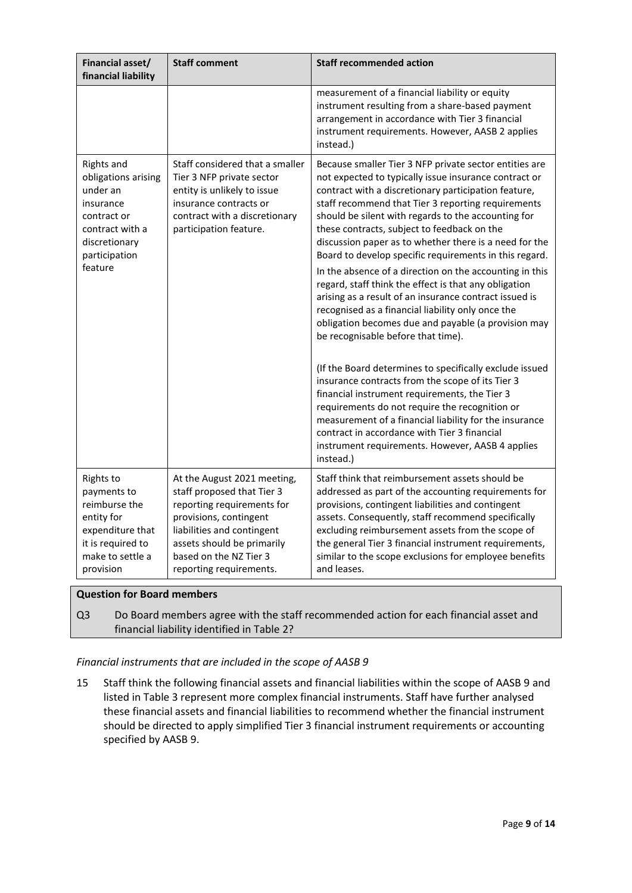| <b>Financial asset/</b><br>financial liability                                                                                            | <b>Staff comment</b>                                                                                                                                                                                                               | <b>Staff recommended action</b>                                                                                                                                                                                                                                                                                                                                                                                                                                                                                                                                                                                                                                                                                                                                                                                                                                                                                                                                                                                                                                                                                                                                                      |
|-------------------------------------------------------------------------------------------------------------------------------------------|------------------------------------------------------------------------------------------------------------------------------------------------------------------------------------------------------------------------------------|--------------------------------------------------------------------------------------------------------------------------------------------------------------------------------------------------------------------------------------------------------------------------------------------------------------------------------------------------------------------------------------------------------------------------------------------------------------------------------------------------------------------------------------------------------------------------------------------------------------------------------------------------------------------------------------------------------------------------------------------------------------------------------------------------------------------------------------------------------------------------------------------------------------------------------------------------------------------------------------------------------------------------------------------------------------------------------------------------------------------------------------------------------------------------------------|
|                                                                                                                                           |                                                                                                                                                                                                                                    | measurement of a financial liability or equity<br>instrument resulting from a share-based payment<br>arrangement in accordance with Tier 3 financial<br>instrument requirements. However, AASB 2 applies<br>instead.)                                                                                                                                                                                                                                                                                                                                                                                                                                                                                                                                                                                                                                                                                                                                                                                                                                                                                                                                                                |
| Rights and<br>obligations arising<br>under an<br>insurance<br>contract or<br>contract with a<br>discretionary<br>participation<br>feature | Staff considered that a smaller<br>Tier 3 NFP private sector<br>entity is unlikely to issue<br>insurance contracts or<br>contract with a discretionary<br>participation feature.                                                   | Because smaller Tier 3 NFP private sector entities are<br>not expected to typically issue insurance contract or<br>contract with a discretionary participation feature,<br>staff recommend that Tier 3 reporting requirements<br>should be silent with regards to the accounting for<br>these contracts, subject to feedback on the<br>discussion paper as to whether there is a need for the<br>Board to develop specific requirements in this regard.<br>In the absence of a direction on the accounting in this<br>regard, staff think the effect is that any obligation<br>arising as a result of an insurance contract issued is<br>recognised as a financial liability only once the<br>obligation becomes due and payable (a provision may<br>be recognisable before that time).<br>(If the Board determines to specifically exclude issued<br>insurance contracts from the scope of its Tier 3<br>financial instrument requirements, the Tier 3<br>requirements do not require the recognition or<br>measurement of a financial liability for the insurance<br>contract in accordance with Tier 3 financial<br>instrument requirements. However, AASB 4 applies<br>instead.) |
| Rights to<br>payments to<br>reimburse the<br>entity for<br>expenditure that<br>it is required to<br>make to settle a<br>provision         | At the August 2021 meeting,<br>staff proposed that Tier 3<br>reporting requirements for<br>provisions, contingent<br>liabilities and contingent<br>assets should be primarily<br>based on the NZ Tier 3<br>reporting requirements. | Staff think that reimbursement assets should be<br>addressed as part of the accounting requirements for<br>provisions, contingent liabilities and contingent<br>assets. Consequently, staff recommend specifically<br>excluding reimbursement assets from the scope of<br>the general Tier 3 financial instrument requirements,<br>similar to the scope exclusions for employee benefits<br>and leases.                                                                                                                                                                                                                                                                                                                                                                                                                                                                                                                                                                                                                                                                                                                                                                              |

# **Question for Board members**

Q3 Do Board members agree with the staff recommended action for each financial asset and financial liability identified in Table 2?

# *Financial instruments that are included in the scope of AASB 9*

15 Staff think the following financial assets and financial liabilities within the scope of AASB 9 and listed in Table 3 represent more complex financial instruments. Staff have further analysed these financial assets and financial liabilities to recommend whether the financial instrument should be directed to apply simplified Tier 3 financial instrument requirements or accounting specified by AASB 9.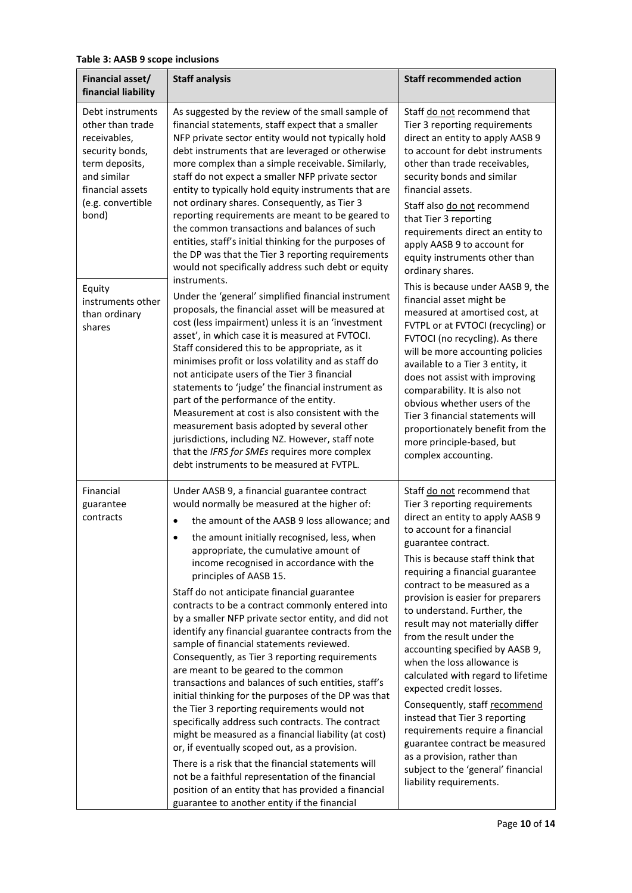# **Table 3: AASB 9 scope inclusions**

| Financial asset/<br>financial liability                                                                                                                                                                              | <b>Staff analysis</b>                                                                                                                                                                                                                                                                                                                                                                                                                                                                                                                                                                                                                                                                                                                                                                                                                                                                                                                                                                                                                                                                                                                                                                                                                                                                                                                                                                                                                                      | <b>Staff recommended action</b>                                                                                                                                                                                                                                                                                                                                                                                                                                                                                                                                                                                                                                                                                                                                                                                                                                                           |
|----------------------------------------------------------------------------------------------------------------------------------------------------------------------------------------------------------------------|------------------------------------------------------------------------------------------------------------------------------------------------------------------------------------------------------------------------------------------------------------------------------------------------------------------------------------------------------------------------------------------------------------------------------------------------------------------------------------------------------------------------------------------------------------------------------------------------------------------------------------------------------------------------------------------------------------------------------------------------------------------------------------------------------------------------------------------------------------------------------------------------------------------------------------------------------------------------------------------------------------------------------------------------------------------------------------------------------------------------------------------------------------------------------------------------------------------------------------------------------------------------------------------------------------------------------------------------------------------------------------------------------------------------------------------------------------|-------------------------------------------------------------------------------------------------------------------------------------------------------------------------------------------------------------------------------------------------------------------------------------------------------------------------------------------------------------------------------------------------------------------------------------------------------------------------------------------------------------------------------------------------------------------------------------------------------------------------------------------------------------------------------------------------------------------------------------------------------------------------------------------------------------------------------------------------------------------------------------------|
| Debt instruments<br>other than trade<br>receivables,<br>security bonds,<br>term deposits,<br>and similar<br>financial assets<br>(e.g. convertible<br>bond)<br>Equity<br>instruments other<br>than ordinary<br>shares | As suggested by the review of the small sample of<br>financial statements, staff expect that a smaller<br>NFP private sector entity would not typically hold<br>debt instruments that are leveraged or otherwise<br>more complex than a simple receivable. Similarly,<br>staff do not expect a smaller NFP private sector<br>entity to typically hold equity instruments that are<br>not ordinary shares. Consequently, as Tier 3<br>reporting requirements are meant to be geared to<br>the common transactions and balances of such<br>entities, staff's initial thinking for the purposes of<br>the DP was that the Tier 3 reporting requirements<br>would not specifically address such debt or equity<br>instruments.<br>Under the 'general' simplified financial instrument<br>proposals, the financial asset will be measured at<br>cost (less impairment) unless it is an 'investment<br>asset', in which case it is measured at FVTOCI.<br>Staff considered this to be appropriate, as it<br>minimises profit or loss volatility and as staff do<br>not anticipate users of the Tier 3 financial<br>statements to 'judge' the financial instrument as<br>part of the performance of the entity.<br>Measurement at cost is also consistent with the<br>measurement basis adopted by several other<br>jurisdictions, including NZ. However, staff note<br>that the IFRS for SMEs requires more complex<br>debt instruments to be measured at FVTPL. | Staff do not recommend that<br>Tier 3 reporting requirements<br>direct an entity to apply AASB 9<br>to account for debt instruments<br>other than trade receivables,<br>security bonds and similar<br>financial assets.<br>Staff also do not recommend<br>that Tier 3 reporting<br>requirements direct an entity to<br>apply AASB 9 to account for<br>equity instruments other than<br>ordinary shares.<br>This is because under AASB 9, the<br>financial asset might be<br>measured at amortised cost, at<br>FVTPL or at FVTOCI (recycling) or<br>FVTOCI (no recycling). As there<br>will be more accounting policies<br>available to a Tier 3 entity, it<br>does not assist with improving<br>comparability. It is also not<br>obvious whether users of the<br>Tier 3 financial statements will<br>proportionately benefit from the<br>more principle-based, but<br>complex accounting. |
| Financial<br>guarantee<br>contracts                                                                                                                                                                                  | Under AASB 9, a financial guarantee contract<br>would normally be measured at the higher of:<br>the amount of the AASB 9 loss allowance; and<br>the amount initially recognised, less, when<br>$\bullet$<br>appropriate, the cumulative amount of<br>income recognised in accordance with the<br>principles of AASB 15.<br>Staff do not anticipate financial guarantee<br>contracts to be a contract commonly entered into<br>by a smaller NFP private sector entity, and did not<br>identify any financial guarantee contracts from the<br>sample of financial statements reviewed.<br>Consequently, as Tier 3 reporting requirements<br>are meant to be geared to the common<br>transactions and balances of such entities, staff's<br>initial thinking for the purposes of the DP was that<br>the Tier 3 reporting requirements would not<br>specifically address such contracts. The contract<br>might be measured as a financial liability (at cost)<br>or, if eventually scoped out, as a provision.<br>There is a risk that the financial statements will<br>not be a faithful representation of the financial<br>position of an entity that has provided a financial<br>guarantee to another entity if the financial                                                                                                                                                                                                                               | Staff do not recommend that<br>Tier 3 reporting requirements<br>direct an entity to apply AASB 9<br>to account for a financial<br>guarantee contract.<br>This is because staff think that<br>requiring a financial guarantee<br>contract to be measured as a<br>provision is easier for preparers<br>to understand. Further, the<br>result may not materially differ<br>from the result under the<br>accounting specified by AASB 9,<br>when the loss allowance is<br>calculated with regard to lifetime<br>expected credit losses.<br>Consequently, staff recommend<br>instead that Tier 3 reporting<br>requirements require a financial<br>guarantee contract be measured<br>as a provision, rather than<br>subject to the 'general' financial<br>liability requirements.                                                                                                               |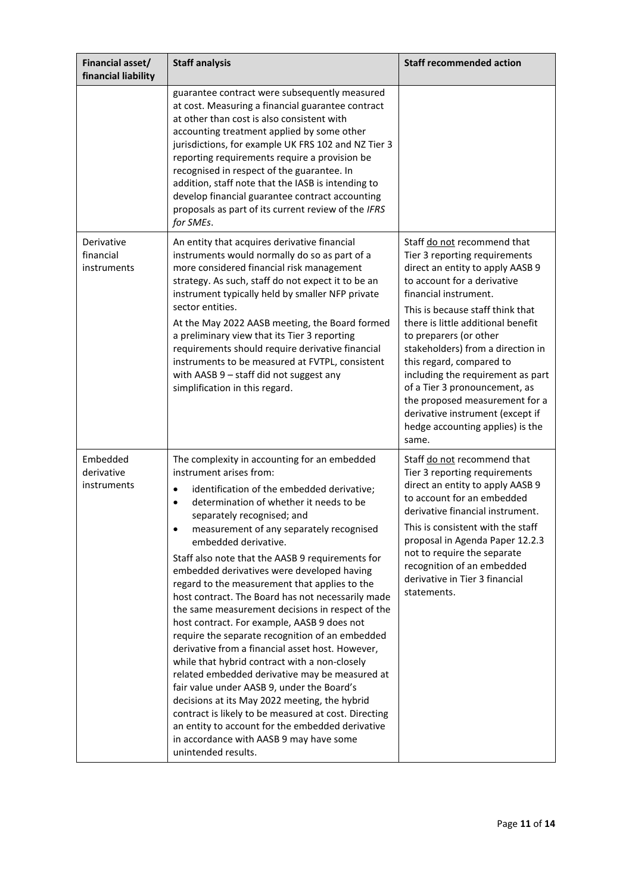| Financial asset/<br>financial liability | <b>Staff analysis</b>                                                                                                                                                                                                                                                                                                                                                                                                                                                                                                                                                                                                                                                                                                                                                                                                                                                                                                                                                                                                                                                                                       | <b>Staff recommended action</b>                                                                                                                                                                                                                                                                                                                                                                                                                                                                                        |
|-----------------------------------------|-------------------------------------------------------------------------------------------------------------------------------------------------------------------------------------------------------------------------------------------------------------------------------------------------------------------------------------------------------------------------------------------------------------------------------------------------------------------------------------------------------------------------------------------------------------------------------------------------------------------------------------------------------------------------------------------------------------------------------------------------------------------------------------------------------------------------------------------------------------------------------------------------------------------------------------------------------------------------------------------------------------------------------------------------------------------------------------------------------------|------------------------------------------------------------------------------------------------------------------------------------------------------------------------------------------------------------------------------------------------------------------------------------------------------------------------------------------------------------------------------------------------------------------------------------------------------------------------------------------------------------------------|
|                                         | guarantee contract were subsequently measured<br>at cost. Measuring a financial guarantee contract<br>at other than cost is also consistent with<br>accounting treatment applied by some other<br>jurisdictions, for example UK FRS 102 and NZ Tier 3<br>reporting requirements require a provision be<br>recognised in respect of the guarantee. In<br>addition, staff note that the IASB is intending to<br>develop financial guarantee contract accounting<br>proposals as part of its current review of the IFRS<br>for SMEs.                                                                                                                                                                                                                                                                                                                                                                                                                                                                                                                                                                           |                                                                                                                                                                                                                                                                                                                                                                                                                                                                                                                        |
| Derivative<br>financial<br>instruments  | An entity that acquires derivative financial<br>instruments would normally do so as part of a<br>more considered financial risk management<br>strategy. As such, staff do not expect it to be an<br>instrument typically held by smaller NFP private<br>sector entities.<br>At the May 2022 AASB meeting, the Board formed<br>a preliminary view that its Tier 3 reporting<br>requirements should require derivative financial<br>instruments to be measured at FVTPL, consistent<br>with AASB 9 - staff did not suggest any<br>simplification in this regard.                                                                                                                                                                                                                                                                                                                                                                                                                                                                                                                                              | Staff do not recommend that<br>Tier 3 reporting requirements<br>direct an entity to apply AASB 9<br>to account for a derivative<br>financial instrument.<br>This is because staff think that<br>there is little additional benefit<br>to preparers (or other<br>stakeholders) from a direction in<br>this regard, compared to<br>including the requirement as part<br>of a Tier 3 pronouncement, as<br>the proposed measurement for a<br>derivative instrument (except if<br>hedge accounting applies) is the<br>same. |
| Embedded<br>derivative<br>instruments   | The complexity in accounting for an embedded<br>instrument arises from:<br>identification of the embedded derivative;<br>$\bullet$<br>determination of whether it needs to be<br>$\bullet$<br>separately recognised; and<br>measurement of any separately recognised<br>$\bullet$<br>embedded derivative.<br>Staff also note that the AASB 9 requirements for<br>embedded derivatives were developed having<br>regard to the measurement that applies to the<br>host contract. The Board has not necessarily made<br>the same measurement decisions in respect of the<br>host contract. For example, AASB 9 does not<br>require the separate recognition of an embedded<br>derivative from a financial asset host. However,<br>while that hybrid contract with a non-closely<br>related embedded derivative may be measured at<br>fair value under AASB 9, under the Board's<br>decisions at its May 2022 meeting, the hybrid<br>contract is likely to be measured at cost. Directing<br>an entity to account for the embedded derivative<br>in accordance with AASB 9 may have some<br>unintended results. | Staff do not recommend that<br>Tier 3 reporting requirements<br>direct an entity to apply AASB 9<br>to account for an embedded<br>derivative financial instrument.<br>This is consistent with the staff<br>proposal in Agenda Paper 12.2.3<br>not to require the separate<br>recognition of an embedded<br>derivative in Tier 3 financial<br>statements.                                                                                                                                                               |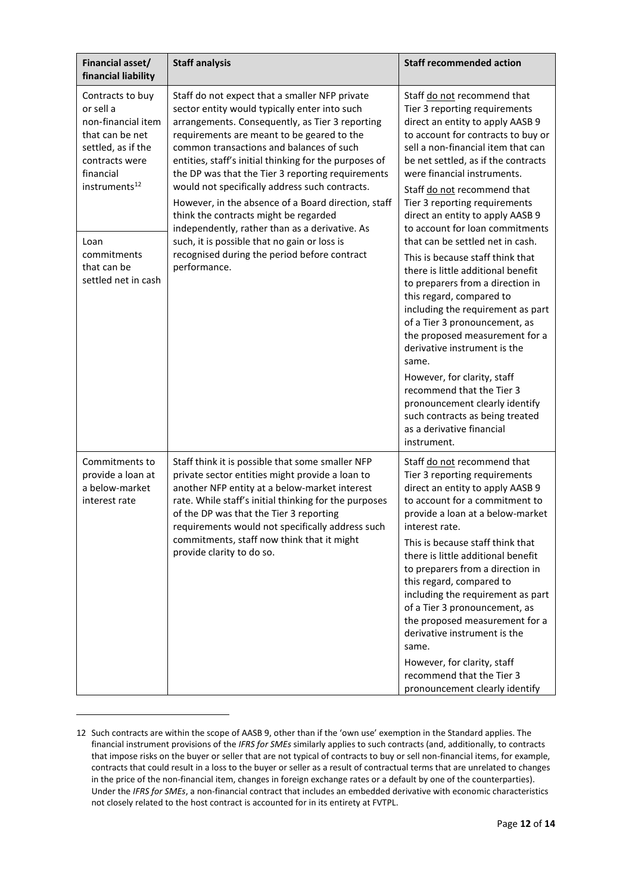| Financial asset/<br>financial liability                                                                                                                                                                               | <b>Staff analysis</b>                                                                                                                                                                                                                                                                                                                                                                                                                                                                                                                                                                                                                                                           | <b>Staff recommended action</b>                                                                                                                                                                                                                                                                                                                                                                                                                                                                                                                                                                                                                                                                                                                                                                                                                                                                       |
|-----------------------------------------------------------------------------------------------------------------------------------------------------------------------------------------------------------------------|---------------------------------------------------------------------------------------------------------------------------------------------------------------------------------------------------------------------------------------------------------------------------------------------------------------------------------------------------------------------------------------------------------------------------------------------------------------------------------------------------------------------------------------------------------------------------------------------------------------------------------------------------------------------------------|-------------------------------------------------------------------------------------------------------------------------------------------------------------------------------------------------------------------------------------------------------------------------------------------------------------------------------------------------------------------------------------------------------------------------------------------------------------------------------------------------------------------------------------------------------------------------------------------------------------------------------------------------------------------------------------------------------------------------------------------------------------------------------------------------------------------------------------------------------------------------------------------------------|
| Contracts to buy<br>or sell a<br>non-financial item<br>that can be net<br>settled, as if the<br>contracts were<br>financial<br>instruments <sup>12</sup><br>Loan<br>commitments<br>that can be<br>settled net in cash | Staff do not expect that a smaller NFP private<br>sector entity would typically enter into such<br>arrangements. Consequently, as Tier 3 reporting<br>requirements are meant to be geared to the<br>common transactions and balances of such<br>entities, staff's initial thinking for the purposes of<br>the DP was that the Tier 3 reporting requirements<br>would not specifically address such contracts.<br>However, in the absence of a Board direction, staff<br>think the contracts might be regarded<br>independently, rather than as a derivative. As<br>such, it is possible that no gain or loss is<br>recognised during the period before contract<br>performance. | Staff do not recommend that<br>Tier 3 reporting requirements<br>direct an entity to apply AASB 9<br>to account for contracts to buy or<br>sell a non-financial item that can<br>be net settled, as if the contracts<br>were financial instruments.<br>Staff do not recommend that<br>Tier 3 reporting requirements<br>direct an entity to apply AASB 9<br>to account for loan commitments<br>that can be settled net in cash.<br>This is because staff think that<br>there is little additional benefit<br>to preparers from a direction in<br>this regard, compared to<br>including the requirement as part<br>of a Tier 3 pronouncement, as<br>the proposed measurement for a<br>derivative instrument is the<br>same.<br>However, for clarity, staff<br>recommend that the Tier 3<br>pronouncement clearly identify<br>such contracts as being treated<br>as a derivative financial<br>instrument. |
| Commitments to<br>provide a loan at<br>a below-market<br>interest rate                                                                                                                                                | Staff think it is possible that some smaller NFP<br>private sector entities might provide a loan to<br>another NFP entity at a below-market interest<br>rate. While staff's initial thinking for the purposes<br>of the DP was that the Tier 3 reporting<br>requirements would not specifically address such<br>commitments, staff now think that it might<br>provide clarity to do so.                                                                                                                                                                                                                                                                                         | Staff do not recommend that<br>Tier 3 reporting requirements<br>direct an entity to apply AASB 9<br>to account for a commitment to<br>provide a loan at a below-market<br>interest rate.<br>This is because staff think that<br>there is little additional benefit<br>to preparers from a direction in<br>this regard, compared to<br>including the requirement as part<br>of a Tier 3 pronouncement, as<br>the proposed measurement for a<br>derivative instrument is the<br>same.<br>However, for clarity, staff<br>recommend that the Tier 3<br>pronouncement clearly identify                                                                                                                                                                                                                                                                                                                     |

<sup>12</sup> Such contracts are within the scope of AASB 9, other than if the 'own use' exemption in the Standard applies. The financial instrument provisions of the *IFRS for SMEs* similarly applies to such contracts (and, additionally, to contracts that impose risks on the buyer or seller that are not typical of contracts to buy or sell non-financial items, for example, contracts that could result in a loss to the buyer or seller as a result of contractual terms that are unrelated to changes in the price of the non-financial item, changes in foreign exchange rates or a default by one of the counterparties). Under the *IFRS for SMEs*, a non-financial contract that includes an embedded derivative with economic characteristics not closely related to the host contract is accounted for in its entirety at FVTPL.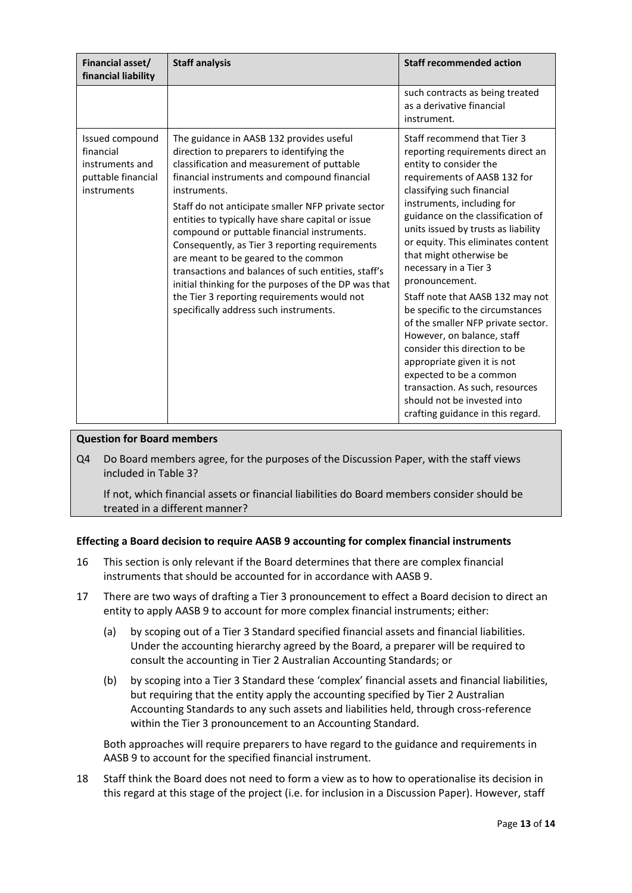| Financial asset/<br>financial liability                                              | <b>Staff analysis</b>                                                                                                                                                                                                                                                                                                                                                                                                                                                                                                                                                                                                                                           | <b>Staff recommended action</b>                                                                                                                                                                                                                                                                                                                                                                                                                                                                                                                                                                                                                                                                                             |
|--------------------------------------------------------------------------------------|-----------------------------------------------------------------------------------------------------------------------------------------------------------------------------------------------------------------------------------------------------------------------------------------------------------------------------------------------------------------------------------------------------------------------------------------------------------------------------------------------------------------------------------------------------------------------------------------------------------------------------------------------------------------|-----------------------------------------------------------------------------------------------------------------------------------------------------------------------------------------------------------------------------------------------------------------------------------------------------------------------------------------------------------------------------------------------------------------------------------------------------------------------------------------------------------------------------------------------------------------------------------------------------------------------------------------------------------------------------------------------------------------------------|
|                                                                                      |                                                                                                                                                                                                                                                                                                                                                                                                                                                                                                                                                                                                                                                                 | such contracts as being treated<br>as a derivative financial<br>instrument.                                                                                                                                                                                                                                                                                                                                                                                                                                                                                                                                                                                                                                                 |
| Issued compound<br>financial<br>instruments and<br>puttable financial<br>instruments | The guidance in AASB 132 provides useful<br>direction to preparers to identifying the<br>classification and measurement of puttable<br>financial instruments and compound financial<br>instruments.<br>Staff do not anticipate smaller NFP private sector<br>entities to typically have share capital or issue<br>compound or puttable financial instruments.<br>Consequently, as Tier 3 reporting requirements<br>are meant to be geared to the common<br>transactions and balances of such entities, staff's<br>initial thinking for the purposes of the DP was that<br>the Tier 3 reporting requirements would not<br>specifically address such instruments. | Staff recommend that Tier 3<br>reporting requirements direct an<br>entity to consider the<br>requirements of AASB 132 for<br>classifying such financial<br>instruments, including for<br>guidance on the classification of<br>units issued by trusts as liability<br>or equity. This eliminates content<br>that might otherwise be<br>necessary in a Tier 3<br>pronouncement.<br>Staff note that AASB 132 may not<br>be specific to the circumstances<br>of the smaller NFP private sector.<br>However, on balance, staff<br>consider this direction to be<br>appropriate given it is not<br>expected to be a common<br>transaction. As such, resources<br>should not be invested into<br>crafting guidance in this regard. |

# **Question for Board members**

Q4 Do Board members agree, for the purposes of the Discussion Paper, with the staff views included in Table 3?

If not, which financial assets or financial liabilities do Board members consider should be treated in a different manner?

# **Effecting a Board decision to require AASB 9 accounting for complex financial instruments**

- 16 This section is only relevant if the Board determines that there are complex financial instruments that should be accounted for in accordance with AASB 9.
- 17 There are two ways of drafting a Tier 3 pronouncement to effect a Board decision to direct an entity to apply AASB 9 to account for more complex financial instruments; either:
	- (a) by scoping out of a Tier 3 Standard specified financial assets and financial liabilities. Under the accounting hierarchy agreed by the Board, a preparer will be required to consult the accounting in Tier 2 Australian Accounting Standards; or
	- (b) by scoping into a Tier 3 Standard these 'complex' financial assets and financial liabilities, but requiring that the entity apply the accounting specified by Tier 2 Australian Accounting Standards to any such assets and liabilities held, through cross-reference within the Tier 3 pronouncement to an Accounting Standard.

Both approaches will require preparers to have regard to the guidance and requirements in AASB 9 to account for the specified financial instrument.

<span id="page-12-0"></span>18 Staff think the Board does not need to form a view as to how to operationalise its decision in this regard at this stage of the project (i.e. for inclusion in a Discussion Paper). However, staff